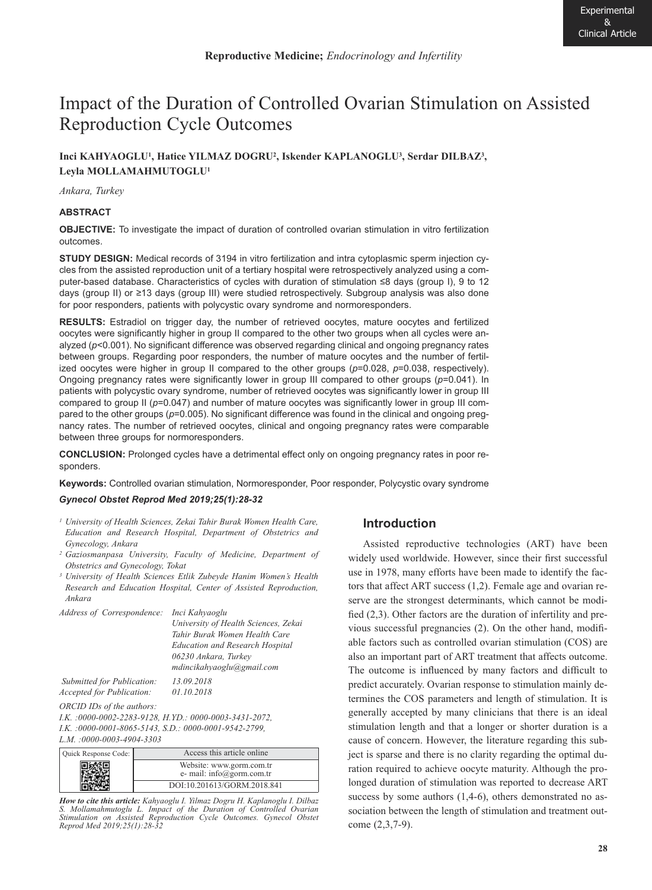# Impact of the Duration of Controlled Ovarian Stimulation on Assisted Reproduction Cycle Outcomes

# **Inci KAHYAOGLU1, Hatice YILMAZ DOGRU2, Iskender KAPLANOGLU3, Serdar DILBAZ3, Leyla MOLLAMAHMUTOGLU1**

*Ankara, Turkey*

### **ABSTRACT**

**OBJECTIVE:** To investigate the impact of duration of controlled ovarian stimulation in vitro fertilization outcomes.

**STUDY DESIGN:** Medical records of 3194 in vitro fertilization and intra cytoplasmic sperm injection cycles from the assisted reproduction unit of a tertiary hospital were retrospectively analyzed using a computer-based database. Characteristics of cycles with duration of stimulation ≤8 days (group I), 9 to 12 days (group II) or ≥13 days (group III) were studied retrospectively. Subgroup analysis was also done for poor responders, patients with polycystic ovary syndrome and normoresponders.

**RESULTS:** Estradiol on trigger day, the number of retrieved oocytes, mature oocytes and fertilized oocytes were significantly higher in group II compared to the other two groups when all cycles were analyzed ( $p$ <0.001). No significant difference was observed regarding clinical and ongoing pregnancy rates between groups. Regarding poor responders, the number of mature oocytes and the number of fertilized oocytes were higher in group II compared to the other groups (*p*=0.028, *p*=0.038, respectively). Ongoing pregnancy rates were significantly lower in group III compared to other groups (*p*=0.041). In patients with polycystic ovary syndrome, number of retrieved oocytes was significantly lower in group III compared to group II (*p*=0.047) and number of mature oocytes was significantly lower in group III compared to the other groups (*p*=0.005). No significant difference was found in the clinical and ongoing pregnancy rates. The number of retrieved oocytes, clinical and ongoing pregnancy rates were comparable between three groups for normoresponders.

**CONCLUSION:** Prolonged cycles have a detrimental effect only on ongoing pregnancy rates in poor responders.

**Keywords:** Controlled ovarian stimulation, Normoresponder, Poor responder, Polycystic ovary syndrome

#### *Gynecol Obstet Reprod Med 2019;25(1):28-32*

- *<sup>1</sup> University of Health Sciences, Zekai Tahir Burak Women Health Care, Education and Research Hospital, Department of Obstetrics and Gynecology, Ankara*
- *<sup>2</sup> Gaziosmanpasa University, Faculty of Medicine, Department of Obstetrics and Gynecology, Tokat*
- *<sup>3</sup> University of Health Sciences Etlik Zubeyde Hanim Women's Health Research and Education Hospital, Center of Assisted Reproduction, Ankara*

| Address of Correspondence: Inci Kahyaoglu               |                                        |  |  |  |  |
|---------------------------------------------------------|----------------------------------------|--|--|--|--|
|                                                         | University of Health Sciences, Zekai   |  |  |  |  |
|                                                         | Tahir Burak Women Health Care          |  |  |  |  |
|                                                         | <b>Education and Research Hospital</b> |  |  |  |  |
|                                                         | 06230 Ankara, Turkey                   |  |  |  |  |
|                                                         | mdincikahyaoglu@gmail.com              |  |  |  |  |
| Submitted for Publication:                              | 13.09.2018                             |  |  |  |  |
| <i>Accepted for Publication:</i>                        | 01.10.2018                             |  |  |  |  |
| ORCID IDs of the authors:                               |                                        |  |  |  |  |
| I.K. : 0000-0002-2283-9128, H.YD.: 0000-0003-3431-2072, |                                        |  |  |  |  |

*I.K. :0000-0001-8065-5143, S.D.: 0000-0001-9542-2799, L.M. :0000-0003-4904-3303*

| Quick Response Code: | Access this article online                            |
|----------------------|-------------------------------------------------------|
|                      | Website: www.gorm.com.tr<br>e- mail: info@gorm.com.tr |
|                      | DOI:10.201613/GORM.2018.841                           |

*How to cite this article: Kahyaoglu I. Yilmaz Dogru H. Kaplanoglu I. Dilbaz S. Mollamahmutoglu L. Impact of the Duration of Controlled Ovarian Stimulation on Assisted Reproduction Cycle Outcomes. Gynecol Obstet Reprod Med 2019;25(1):28-32* 

# **Introduction**

Assisted reproductive technologies (ART) have been widely used worldwide. However, since their first successful use in 1978, many efforts have been made to identify the factors that affect ART success (1,2). Female age and ovarian reserve are the strongest determinants, which cannot be modified (2,3). Other factors are the duration of infertility and previous successful pregnancies (2). On the other hand, modifiable factors such as controlled ovarian stimulation (COS) are also an important part of ART treatment that affects outcome. The outcome is influenced by many factors and difficult to predict accurately. Ovarian response to stimulation mainly determines the COS parameters and length of stimulation. It is generally accepted by many clinicians that there is an ideal stimulation length and that a longer or shorter duration is a cause of concern. However, the literature regarding this subject is sparse and there is no clarity regarding the optimal duration required to achieve oocyte maturity. Although the prolonged duration of stimulation was reported to decrease ART success by some authors (1,4-6), others demonstrated no association between the length of stimulation and treatment outcome (2,3,7-9).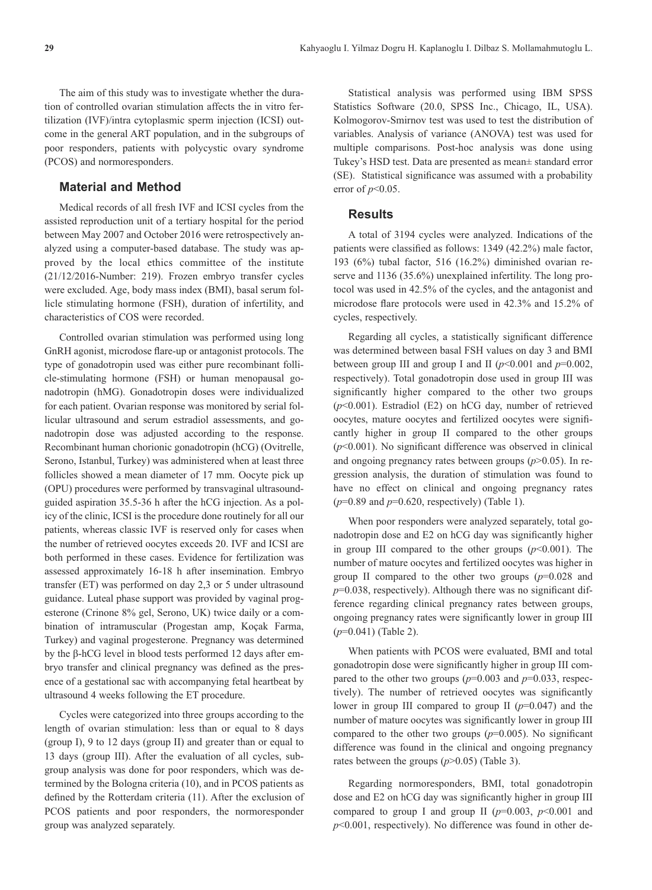The aim of this study was to investigate whether the duration of controlled ovarian stimulation affects the in vitro fertilization (IVF)/intra cytoplasmic sperm injection (ICSI) outcome in the general ART population, and in the subgroups of poor responders, patients with polycystic ovary syndrome (PCOS) and normoresponders.

## **Material and Method**

Medical records of all fresh IVF and ICSI cycles from the assisted reproduction unit of a tertiary hospital for the period between May 2007 and October 2016 were retrospectively analyzed using a computer-based database. The study was approved by the local ethics committee of the institute (21/12/2016-Number: 219). Frozen embryo transfer cycles were excluded. Age, body mass index (BMI), basal serum follicle stimulating hormone (FSH), duration of infertility, and characteristics of COS were recorded.

Controlled ovarian stimulation was performed using long GnRH agonist, microdose flare-up or antagonist protocols. The type of gonadotropin used was either pure recombinant follicle-stimulating hormone (FSH) or human menopausal gonadotropin (hMG). Gonadotropin doses were individualized for each patient. Ovarian response was monitored by serial follicular ultrasound and serum estradiol assessments, and gonadotropin dose was adjusted according to the response. Recombinant human chorionic gonadotropin (hCG) (Ovitrelle, Serono, Istanbul, Turkey) was administered when at least three follicles showed a mean diameter of 17 mm. Oocyte pick up (OPU) procedures were performed by transvaginal ultrasoundguided aspiration 35.5-36 h after the hCG injection. As a policy of the clinic, ICSI is the procedure done routinely for all our patients, whereas classic IVF is reserved only for cases when the number of retrieved oocytes exceeds 20. IVF and ICSI are both performed in these cases. Evidence for fertilization was assessed approximately 16-18 h after insemination. Embryo transfer (ET) was performed on day 2,3 or 5 under ultrasound guidance. Luteal phase support was provided by vaginal progesterone (Crinone 8% gel, Serono, UK) twice daily or a combination of intramuscular (Progestan amp, Koçak Farma, Turkey) and vaginal progesterone. Pregnancy was determined by the β-hCG level in blood tests performed 12 days after embryo transfer and clinical pregnancy was defined as the presence of a gestational sac with accompanying fetal heartbeat by ultrasound 4 weeks following the ET procedure.

Cycles were categorized into three groups according to the length of ovarian stimulation: less than or equal to 8 days (group I), 9 to 12 days (group II) and greater than or equal to 13 days (group III). After the evaluation of all cycles, subgroup analysis was done for poor responders, which was determined by the Bologna criteria (10), and in PCOS patients as defined by the Rotterdam criteria (11). After the exclusion of PCOS patients and poor responders, the normoresponder group was analyzed separately.

Statistical analysis was performed using IBM SPSS Statistics Software (20.0, SPSS Inc., Chicago, IL, USA). Kolmogorov-Smirnov test was used to test the distribution of variables. Analysis of variance (ANOVA) test was used for multiple comparisons. Post-hoc analysis was done using Tukey's HSD test. Data are presented as mean± standard error (SE). Statistical significance was assumed with a probability error of *p*<0.05.

## **Results**

A total of 3194 cycles were analyzed. Indications of the patients were classified as follows: 1349 (42.2%) male factor, 193 (6%) tubal factor, 516 (16.2%) diminished ovarian reserve and 1136 (35.6%) unexplained infertility. The long protocol was used in 42.5% of the cycles, and the antagonist and microdose flare protocols were used in 42.3% and 15.2% of cycles, respectively.

Regarding all cycles, a statistically significant difference was determined between basal FSH values on day 3 and BMI between group III and group I and II  $(p<0.001$  and  $p=0.002$ , respectively). Total gonadotropin dose used in group III was significantly higher compared to the other two groups (*p*<0.001). Estradiol (E2) on hCG day, number of retrieved oocytes, mature oocytes and fertilized oocytes were significantly higher in group II compared to the other groups (*p*<0.001). No significant difference was observed in clinical and ongoing pregnancy rates between groups (*p*>0.05). In regression analysis, the duration of stimulation was found to have no effect on clinical and ongoing pregnancy rates (*p*=0.89 and *p*=0.620, respectively) (Table 1).

When poor responders were analyzed separately, total gonadotropin dose and E2 on hCG day was significantly higher in group III compared to the other groups  $(p<0.001)$ . The number of mature oocytes and fertilized oocytes was higher in group II compared to the other two groups (*p*=0.028 and *p*=0.038, respectively). Although there was no significant difference regarding clinical pregnancy rates between groups, ongoing pregnancy rates were significantly lower in group III (*p*=0.041) (Table 2).

When patients with PCOS were evaluated, BMI and total gonadotropin dose were significantly higher in group III compared to the other two groups  $(p=0.003$  and  $p=0.033$ , respectively). The number of retrieved oocytes was significantly lower in group III compared to group II (*p*=0.047) and the number of mature oocytes was significantly lower in group III compared to the other two groups  $(p=0.005)$ . No significant difference was found in the clinical and ongoing pregnancy rates between the groups (*p*>0.05) (Table 3).

Regarding normoresponders, BMI, total gonadotropin dose and E2 on hCG day was significantly higher in group III compared to group I and group II  $(p=0.003, p<0.001$  and *p*<0.001, respectively). No difference was found in other de-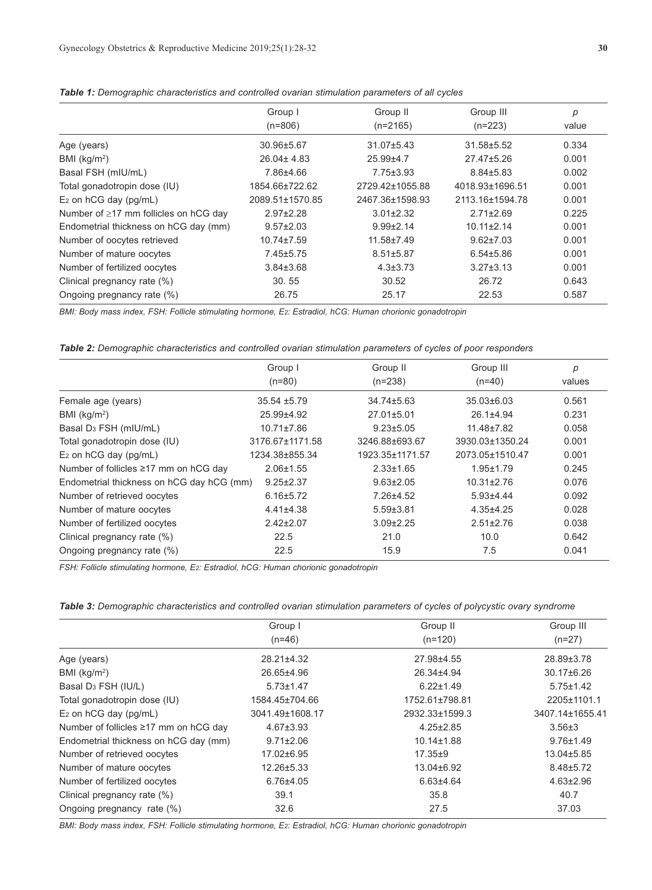|                                             | Group I          | Group II         | Group III        |       |
|---------------------------------------------|------------------|------------------|------------------|-------|
|                                             |                  |                  |                  | р     |
|                                             | $(n=806)$        | $(n=2165)$       | $(n=223)$        | value |
| Age (years)                                 | 30.96±5.67       | $31.07 \pm 5.43$ | 31.58±5.52       | 0.334 |
| BMI ( $kg/m2$ )                             | $26.04 \pm 4.83$ | 25.99±4.7        | 27.47±5.26       | 0.001 |
| Basal FSH (mIU/mL)                          | 7.86±4.66        | $7.75 \pm 3.93$  | $8.84 + 5.83$    | 0.002 |
| Total gonadotropin dose (IU)                | 1854.66±722.62   | 2729.42±1055.88  | 4018.93±1696.51  | 0.001 |
| $E_2$ on hCG day (pg/mL)                    | 2089.51±1570.85  | 2467.36±1598.93  | 2113.16±1594.78  | 0.001 |
| Number of $\geq$ 17 mm follicles on hCG day | $2.97 + 2.28$    | $3.01 \pm 2.32$  | $2.71 \pm 2.69$  | 0.225 |
| Endometrial thickness on hCG day (mm)       | $9.57 \pm 2.03$  | $9.99 \pm 2.14$  | $10.11 \pm 2.14$ | 0.001 |
| Number of oocytes retrieved                 | $10.74 \pm 7.59$ | 11.58±7.49       | $9.62 \pm 7.03$  | 0.001 |
| Number of mature oocytes                    | $7.45 \pm 5.75$  | $8.51 \pm 5.87$  | $6.54 + 5.86$    | 0.001 |
| Number of fertilized oocytes                | $3.84 \pm 3.68$  | $4.3 \pm 3.73$   | $3.27 \pm 3.13$  | 0.001 |
| Clinical pregnancy rate (%)                 | 30.55            | 30.52            | 26.72            | 0.643 |
| Ongoing pregnancy rate (%)                  | 26.75            | 25.17            | 22.53            | 0.587 |

*Table 1: Demographic characteristics and controlled ovarian stimulation parameters of all cycles*

*BMI: Body mass index, FSH: Follicle stimulating hormone, E2: Estradiol, hCG: Human chorionic gonadotropin*

*Table 2: Demographic characteristics and controlled ovarian stimulation parameters of cycles of poor responders*

|                                           | Group I          | Group II         | Group III        | p      |
|-------------------------------------------|------------------|------------------|------------------|--------|
|                                           | $(n=80)$         | $(n=238)$        | $(n=40)$         | values |
| Female age (years)                        | $35.54 + 5.79$   | $34.74 \pm 5.63$ | $35.03 \pm 6.03$ | 0.561  |
| BMI ( $kg/m2$ )                           | 25.99±4.92       | 27.01±5.01       | $26.1 \pm 4.94$  | 0.231  |
| Basal D <sub>3</sub> FSH (mIU/mL)         | $10.71 \pm 7.86$ | $9.23 \pm 5.05$  | 11.48±7.82       | 0.058  |
| Total gonadotropin dose (IU)              | 3176.67±1171.58  | 3246.88±693.67   | 3930.03±1350.24  | 0.001  |
| $E_2$ on hCG day (pg/mL)                  | 1234.38±855.34   | 1923.35±1171.57  | 2073.05±1510.47  | 0.001  |
| Number of follicles ≥17 mm on hCG day     | $2.06 \pm 1.55$  | $2.33 \pm 1.65$  | $1.95 \pm 1.79$  | 0.245  |
| Endometrial thickness on hCG day hCG (mm) | $9.25 \pm 2.37$  | $9.63 \pm 2.05$  | $10.31 \pm 2.76$ | 0.076  |
| Number of retrieved oocytes               | $6.16 \pm 5.72$  | $7.26 + 4.52$    | $5.93{\pm}4.44$  | 0.092  |
| Number of mature oocytes                  | $4.41\pm4.38$    | $5.59 \pm 3.81$  | $4.35 + 4.25$    | 0.028  |
| Number of fertilized oocytes              | $2.42 \pm 2.07$  | $3.09 \pm 2.25$  | $2.51 \pm 2.76$  | 0.038  |
| Clinical pregnancy rate (%)               | 22.5             | 21.0             | 10.0             | 0.642  |
| Ongoing pregnancy rate (%)                | 22.5             | 15.9             | 7.5              | 0.041  |

*FSH: Follicle stimulating hormone, E2: Estradiol, hCG: Human chorionic gonadotropin*

| Table 3: Demographic characteristics and controlled ovarian stimulation parameters of cycles of polycystic ovary syndrome |  |
|---------------------------------------------------------------------------------------------------------------------------|--|
|---------------------------------------------------------------------------------------------------------------------------|--|

|                                       | Group I         | Group II         | Group III        |
|---------------------------------------|-----------------|------------------|------------------|
|                                       | $(n=46)$        | $(n=120)$        | $(n=27)$         |
| Age (years)                           | 28.21±4.32      | 27.98±4.55       | 28.89±3.78       |
| BMI ( $kg/m2$ )                       | 26.65±4.96      | 26.34±4.94       | $30.17 \pm 6.26$ |
| Basal D <sub>3</sub> FSH (IU/L)       | $5.73 \pm 1.47$ | $6.22 \pm 1.49$  | $5.75 \pm 1.42$  |
| Total gonadotropin dose (IU)          | 1584.45±704.66  | 1752.61±798.81   | 2205±1101.1      |
| $E_2$ on hCG day (pg/mL)              | 3041.49±1608.17 | 2932.33±1599.3   | 3407.14±1655.41  |
| Number of follicles ≥17 mm on hCG day | $4.67 \pm 3.93$ | $4.25 \pm 2.85$  | $3.56 \pm 3$     |
| Endometrial thickness on hCG day (mm) | $9.71 \pm 2.06$ | $10.14 \pm 1.88$ | $9.76 \pm 1.49$  |
| Number of retrieved oocytes           | 17.02±6.95      | $17.35 + 9$      | 13.04±5.85       |
| Number of mature oocytes              | 12.26±5.33      | 13.04±6.92       | $8.48 \pm 5.72$  |
| Number of fertilized oocytes          | $6.76{\pm}4.05$ | $6.63{\pm}4.64$  | $4.63 \pm 2.96$  |
| Clinical pregnancy rate (%)           | 39.1            | 35.8             | 40.7             |
| Ongoing pregnancy rate (%)            | 32.6            | 27.5             | 37.03            |

*BMI: Body mass index, FSH: Follicle stimulating hormone, E2: Estradiol, hCG: Human chorionic gonadotropin*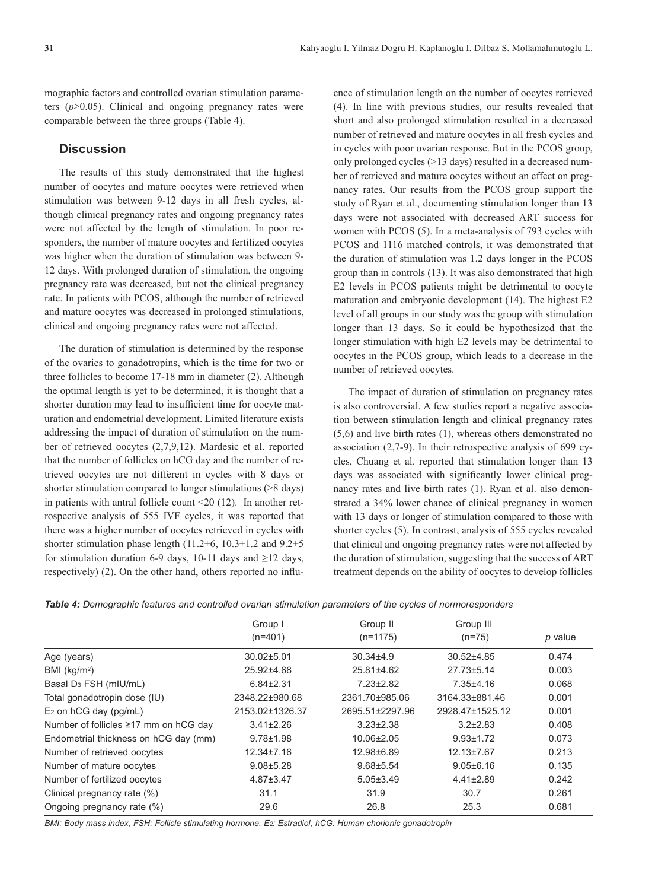mographic factors and controlled ovarian stimulation parameters  $(p>0.05)$ . Clinical and ongoing pregnancy rates were comparable between the three groups (Table 4).

## **Discussion**

The results of this study demonstrated that the highest number of oocytes and mature oocytes were retrieved when stimulation was between 9-12 days in all fresh cycles, although clinical pregnancy rates and ongoing pregnancy rates were not affected by the length of stimulation. In poor responders, the number of mature oocytes and fertilized oocytes was higher when the duration of stimulation was between 9- 12 days. With prolonged duration of stimulation, the ongoing pregnancy rate was decreased, but not the clinical pregnancy rate. In patients with PCOS, although the number of retrieved and mature oocytes was decreased in prolonged stimulations, clinical and ongoing pregnancy rates were not affected.

The duration of stimulation is determined by the response of the ovaries to gonadotropins, which is the time for two or three follicles to become 17-18 mm in diameter (2). Although the optimal length is yet to be determined, it is thought that a shorter duration may lead to insufficient time for oocyte maturation and endometrial development. Limited literature exists addressing the impact of duration of stimulation on the number of retrieved oocytes (2,7,9,12). Mardesic et al. reported that the number of follicles on hCG day and the number of retrieved oocytes are not different in cycles with 8 days or shorter stimulation compared to longer stimulations (>8 days) in patients with antral follicle count <20 (12). In another retrospective analysis of 555 IVF cycles, it was reported that there was a higher number of oocytes retrieved in cycles with shorter stimulation phase length (11.2±6, 10.3±1.2 and 9.2±5 for stimulation duration 6-9 days, 10-11 days and  $\geq$ 12 days, respectively) (2). On the other hand, others reported no influence of stimulation length on the number of oocytes retrieved (4). In line with previous studies, our results revealed that short and also prolonged stimulation resulted in a decreased number of retrieved and mature oocytes in all fresh cycles and in cycles with poor ovarian response. But in the PCOS group, only prolonged cycles (>13 days) resulted in a decreased number of retrieved and mature oocytes without an effect on pregnancy rates. Our results from the PCOS group support the study of Ryan et al., documenting stimulation longer than 13 days were not associated with decreased ART success for women with PCOS (5). In a meta-analysis of 793 cycles with PCOS and 1116 matched controls, it was demonstrated that the duration of stimulation was 1.2 days longer in the PCOS group than in controls (13). It was also demonstrated that high E2 levels in PCOS patients might be detrimental to oocyte maturation and embryonic development (14). The highest E2 level of all groups in our study was the group with stimulation longer than 13 days. So it could be hypothesized that the longer stimulation with high E2 levels may be detrimental to oocytes in the PCOS group, which leads to a decrease in the number of retrieved oocytes.

The impact of duration of stimulation on pregnancy rates is also controversial. A few studies report a negative association between stimulation length and clinical pregnancy rates (5,6) and live birth rates (1), whereas others demonstrated no association (2,7-9). In their retrospective analysis of 699 cycles, Chuang et al. reported that stimulation longer than 13 days was associated with significantly lower clinical pregnancy rates and live birth rates (1). Ryan et al. also demonstrated a 34% lower chance of clinical pregnancy in women with 13 days or longer of stimulation compared to those with shorter cycles (5). In contrast, analysis of 555 cycles revealed that clinical and ongoing pregnancy rates were not affected by the duration of stimulation, suggesting that the success of ART treatment depends on the ability of oocytes to develop follicles

|  |  |  |  |  |  |  |  |  | Table 4: Demographic features and controlled ovarian stimulation parameters of the cycles of normoresponders |
|--|--|--|--|--|--|--|--|--|--------------------------------------------------------------------------------------------------------------|
|--|--|--|--|--|--|--|--|--|--------------------------------------------------------------------------------------------------------------|

|                                       | Group I          | Group II         | Group III        |         |  |
|---------------------------------------|------------------|------------------|------------------|---------|--|
|                                       | $(n=401)$        | $(n=1175)$       | $(n=75)$         | p value |  |
| Age (years)                           | $30.02 \pm 5.01$ | $30.34 \pm 4.9$  | $30.52 + 4.85$   | 0.474   |  |
| BMI $(kg/m2)$                         | 25.92±4.68       | 25.81±4.62       | 27.73±5.14       | 0.003   |  |
| Basal D <sub>3</sub> FSH (mIU/mL)     | $6.84 \pm 2.31$  | $7.23 \pm 2.82$  | $7.35 + 4.16$    | 0.068   |  |
| Total gonadotropin dose (IU)          | 2348.22±980.68   | 2361.70±985.06   | 3164.33±881.46   | 0.001   |  |
| $E_2$ on hCG day (pg/mL)              | 2153.02±1326.37  | 2695.51±2297.96  | 2928.47±1525.12  | 0.001   |  |
| Number of follicles ≥17 mm on hCG day | $3.41 \pm 2.26$  | $3.23 \pm 2.38$  | $3.2 \pm 2.83$   | 0.408   |  |
| Endometrial thickness on hCG day (mm) | $9.78 \pm 1.98$  | $10.06 \pm 2.05$ | $9.93 \pm 1.72$  | 0.073   |  |
| Number of retrieved oocytes           | $12.34 \pm 7.16$ | 12.98±6.89       | $12.13 \pm 7.67$ | 0.213   |  |
| Number of mature oocytes              | $9.08 + 5.28$    | $9.68 + 5.54$    | $9.05 \pm 6.16$  | 0.135   |  |
| Number of fertilized oocytes          | $4.87 \pm 3.47$  | $5.05 \pm 3.49$  | $4.41 \pm 2.89$  | 0.242   |  |
| Clinical pregnancy rate (%)           | 31.1             | 31.9             | 30.7             | 0.261   |  |
| Ongoing pregnancy rate (%)            | 29.6             | 26.8             | 25.3             | 0.681   |  |
|                                       |                  |                  |                  |         |  |

*BMI: Body mass index, FSH: Follicle stimulating hormone, E2: Estradiol, hCG: Human chorionic gonadotropin*